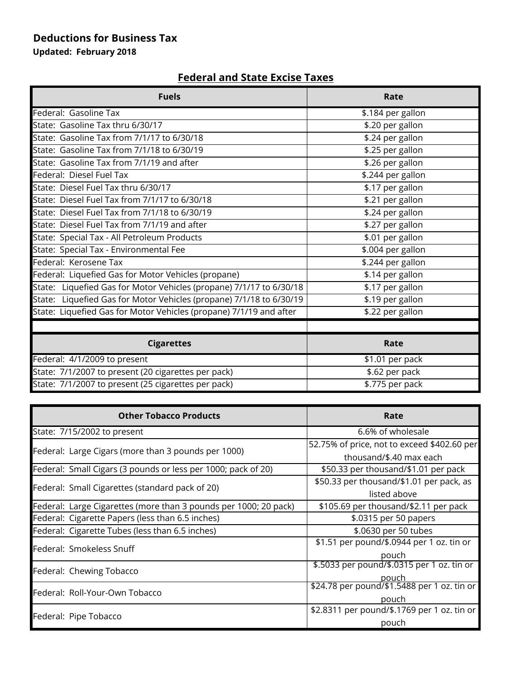## **Deductions for Business Tax**

**Updated: February 2018**

## **Federal and State Excise Taxes**

| <b>Fuels</b>                                                        | Rate                           |
|---------------------------------------------------------------------|--------------------------------|
| Federal: Gasoline Tax                                               | \$.184 per gallon              |
| State: Gasoline Tax thru 6/30/17                                    | \$.20 per gallon               |
| State: Gasoline Tax from 7/1/17 to 6/30/18                          | \$.24 per gallon               |
| State: Gasoline Tax from 7/1/18 to 6/30/19                          | \$.25 per gallon               |
| State: Gasoline Tax from 7/1/19 and after                           | \$.26 per gallon               |
| Federal: Diesel Fuel Tax                                            | \$.244 per gallon              |
| State: Diesel Fuel Tax thru 6/30/17                                 | \$.17 per gallon               |
| State: Diesel Fuel Tax from 7/1/17 to 6/30/18                       | \$.21 per gallon               |
| State: Diesel Fuel Tax from 7/1/18 to 6/30/19                       | \$.24 per gallon               |
| State: Diesel Fuel Tax from 7/1/19 and after                        | $\overline{\$}$ .27 per gallon |
| State: Special Tax - All Petroleum Products                         | \$.01 per gallon               |
| State: Special Tax - Environmental Fee                              | \$.004 per gallon              |
| Federal: Kerosene Tax                                               | \$.244 per gallon              |
| Federal: Liquefied Gas for Motor Vehicles (propane)                 | \$.14 per gallon               |
| State: Liquefied Gas for Motor Vehicles (propane) 7/1/17 to 6/30/18 | \$.17 per gallon               |
| State: Liquefied Gas for Motor Vehicles (propane) 7/1/18 to 6/30/19 | \$.19 per gallon               |
| State: Liquefied Gas for Motor Vehicles (propane) 7/1/19 and after  | \$.22 per gallon               |
|                                                                     |                                |
| <b>Cigarettes</b>                                                   | Rate                           |
| Federal: 4/1/2009 to present                                        | \$1.01 per pack                |
| State: 7/1/2007 to present (20 cigarettes per pack)                 | $\overline{4.62}$ per pack     |
| State: 7/1/2007 to present (25 cigarettes per pack)                 | \$.775 per pack                |

| <b>Other Tobacco Products</b>                                    | Rate                                        |
|------------------------------------------------------------------|---------------------------------------------|
| State: 7/15/2002 to present                                      | 6.6% of wholesale                           |
| Federal: Large Cigars (more than 3 pounds per 1000)              | 52.75% of price, not to exceed \$402.60 per |
|                                                                  | thousand/\$.40 max each                     |
| Federal: Small Cigars (3 pounds or less per 1000; pack of 20)    | \$50.33 per thousand/\$1.01 per pack        |
| Federal: Small Cigarettes (standard pack of 20)                  | \$50.33 per thousand/\$1.01 per pack, as    |
|                                                                  | listed above                                |
| Federal: Large Cigarettes (more than 3 pounds per 1000; 20 pack) | \$105.69 per thousand/\$2.11 per pack       |
| Federal: Cigarette Papers (less than 6.5 inches)                 | \$.0315 per 50 papers                       |
| Federal: Cigarette Tubes (less than 6.5 inches)                  | \$.0630 per 50 tubes                        |
| Federal: Smokeless Snuff                                         | \$1.51 per pound/\$.0944 per 1 oz. tin or   |
|                                                                  | pouch                                       |
| Federal: Chewing Tobacco                                         | \$.5033 per pound/\$.0315 per 1 oz. tin or  |
|                                                                  | pouch                                       |
| Federal: Roll-Your-Own Tobacco                                   | \$24.78 per pound/\$1.5488 per 1 oz. tin or |
|                                                                  | pouch                                       |
| Federal: Pipe Tobacco                                            | \$2.8311 per pound/\$.1769 per 1 oz. tin or |
|                                                                  | pouch                                       |